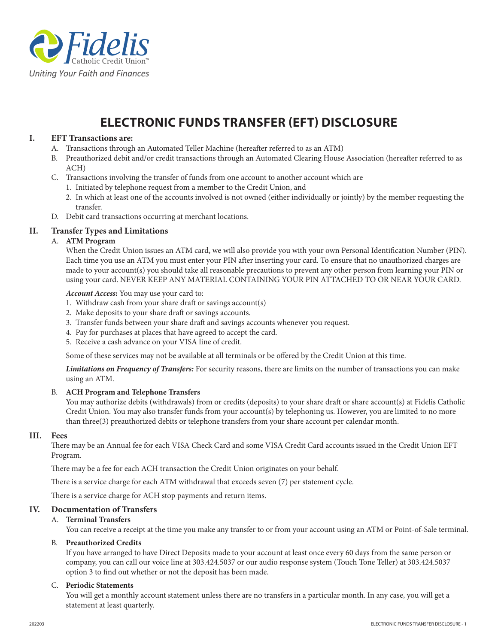

# **ELECTRONIC FUNDS TRANSFER (EFT) DISCLOSURE**

## **I. EFT Transactions are:**

- A. Transactions through an Automated Teller Machine (hereafter referred to as an ATM)
- B. Preauthorized debit and/or credit transactions through an Automated Clearing House Association (hereafter referred to as ACH)
- C. Transactions involving the transfer of funds from one account to another account which are
	- 1. Initiated by telephone request from a member to the Credit Union, and
	- 2. In which at least one of the accounts involved is not owned (either individually or jointly) by the member requesting the transfer.
- D. Debit card transactions occurring at merchant locations.

## **II. Transfer Types and Limitations**

## A. **ATM Program**

When the Credit Union issues an ATM card, we will also provide you with your own Personal Identification Number (PIN). Each time you use an ATM you must enter your PIN after inserting your card. To ensure that no unauthorized charges are made to your account(s) you should take all reasonable precautions to prevent any other person from learning your PIN or using your card. NEVER KEEP ANY MATERIAL CONTAINING YOUR PIN ATTACHED TO OR NEAR YOUR CARD.

#### *Account Access:* You may use your card to:

- 1. Withdraw cash from your share draft or savings account(s)
- 2. Make deposits to your share draft or savings accounts.
- 3. Transfer funds between your share draft and savings accounts whenever you request.
- 4. Pay for purchases at places that have agreed to accept the card.
- 5. Receive a cash advance on your VISA line of credit.

Some of these services may not be available at all terminals or be offered by the Credit Union at this time.

*Limitations on Frequency of Transfers:* For security reasons, there are limits on the number of transactions you can make using an ATM.

### B. **ACH Program and Telephone Transfers**

You may authorize debits (withdrawals) from or credits (deposits) to your share draft or share account(s) at Fidelis Catholic Credit Union. You may also transfer funds from your account(s) by telephoning us. However, you are limited to no more than three(3) preauthorized debits or telephone transfers from your share account per calendar month.

#### **III. Fees**

There may be an Annual fee for each VISA Check Card and some VISA Credit Card accounts issued in the Credit Union EFT Program.

There may be a fee for each ACH transaction the Credit Union originates on your behalf.

There is a service charge for each ATM withdrawal that exceeds seven (7) per statement cycle.

There is a service charge for ACH stop payments and return items.

### **IV. Documentation of Transfers**

### A. **Terminal Transfers**

You can receive a receipt at the time you make any transfer to or from your account using an ATM or Point-of-Sale terminal.

#### B. **Preauthorized Credits**

If you have arranged to have Direct Deposits made to your account at least once every 60 days from the same person or company, you can call our voice line at 303.424.5037 or our audio response system (Touch Tone Teller) at 303.424.5037 option 3 to find out whether or not the deposit has been made.

#### C. **Periodic Statements**

You will get a monthly account statement unless there are no transfers in a particular month. In any case, you will get a statement at least quarterly.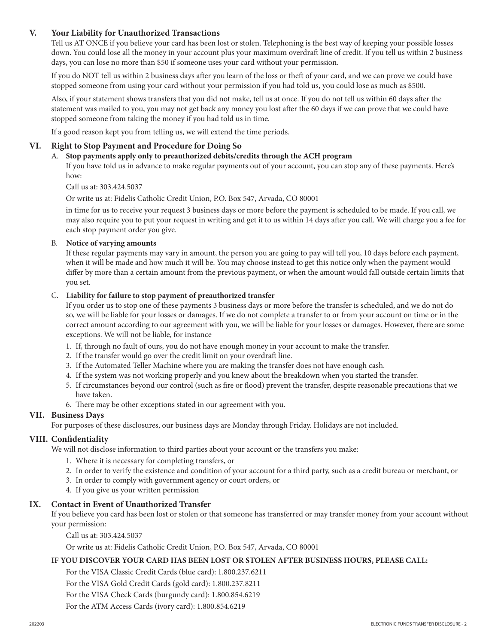# **V. Your Liability for Unauthorized Transactions**

Tell us AT ONCE if you believe your card has been lost or stolen. Telephoning is the best way of keeping your possible losses down. You could lose all the money in your account plus your maximum overdraft line of credit. If you tell us within 2 business days, you can lose no more than \$50 if someone uses your card without your permission.

If you do NOT tell us within 2 business days after you learn of the loss or theft of your card, and we can prove we could have stopped someone from using your card without your permission if you had told us, you could lose as much as \$500.

Also, if your statement shows transfers that you did not make, tell us at once. If you do not tell us within 60 days after the statement was mailed to you, you may not get back any money you lost after the 60 days if we can prove that we could have stopped someone from taking the money if you had told us in time.

If a good reason kept you from telling us, we will extend the time periods.

### **VI. Right to Stop Payment and Procedure for Doing So**

#### A. **Stop payments apply only to preauthorized debits/credits through the ACH program**

If you have told us in advance to make regular payments out of your account, you can stop any of these payments. Here's how:

Call us at: 303.424.5037

Or write us at: Fidelis Catholic Credit Union, P.O. Box 547, Arvada, CO 80001

in time for us to receive your request 3 business days or more before the payment is scheduled to be made. If you call, we may also require you to put your request in writing and get it to us within 14 days after you call. We will charge you a fee for each stop payment order you give.

### B. **Notice of varying amounts**

If these regular payments may vary in amount, the person you are going to pay will tell you, 10 days before each payment, when it will be made and how much it will be. You may choose instead to get this notice only when the payment would differ by more than a certain amount from the previous payment, or when the amount would fall outside certain limits that you set.

### C. **Liability for failure to stop payment of preauthorized transfer**

If you order us to stop one of these payments 3 business days or more before the transfer is scheduled, and we do not do so, we will be liable for your losses or damages. If we do not complete a transfer to or from your account on time or in the correct amount according to our agreement with you, we will be liable for your losses or damages. However, there are some exceptions. We will not be liable, for instance

- 1. If, through no fault of ours, you do not have enough money in your account to make the transfer.
- 2. If the transfer would go over the credit limit on your overdraft line.
- 3. If the Automated Teller Machine where you are making the transfer does not have enough cash.
- 4. If the system was not working properly and you knew about the breakdown when you started the transfer.
- 5. If circumstances beyond our control (such as fire or flood) prevent the transfer, despite reasonable precautions that we have taken.
- 6. There may be other exceptions stated in our agreement with you.

## **VII. Business Days**

For purposes of these disclosures, our business days are Monday through Friday. Holidays are not included.

### **VIII. Confidentiality**

We will not disclose information to third parties about your account or the transfers you make:

- 1. Where it is necessary for completing transfers, or
- 2. In order to verify the existence and condition of your account for a third party, such as a credit bureau or merchant, or
- 3. In order to comply with government agency or court orders, or
- 4. If you give us your written permission

### **IX. Contact in Event of Unauthorized Transfer**

If you believe you card has been lost or stolen or that someone has transferred or may transfer money from your account without your permission:

Call us at: 303.424.5037

Or write us at: Fidelis Catholic Credit Union, P.O. Box 547, Arvada, CO 80001

## **IF YOU DISCOVER YOUR CARD HAS BEEN LOST OR STOLEN AFTER BUSINESS HOURS, PLEASE CALL:**

For the VISA Classic Credit Cards (blue card): 1.800.237.6211

For the VISA Gold Credit Cards (gold card): 1.800.237.8211

For the VISA Check Cards (burgundy card): 1.800.854.6219

For the ATM Access Cards (ivory card): 1.800.854.6219